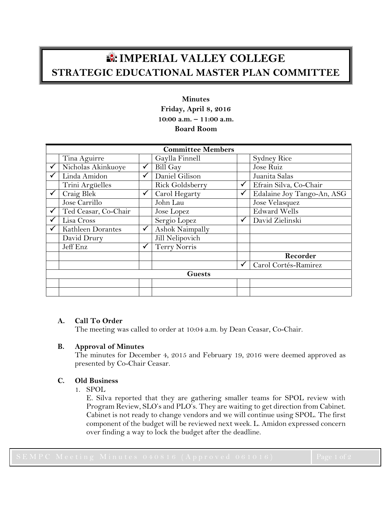# **IMPERIAL VALLEY COLLEGE STRATEGIC EDUCATIONAL MASTER PLAN COMMITTEE**

## **Minutes Friday, April 8, 2016 10:00 a.m. – 11:00 a.m. Board Room**

| <b>Committee Members</b> |                      |              |                     |   |                            |
|--------------------------|----------------------|--------------|---------------------|---|----------------------------|
|                          | Tina Aguirre         |              | Gaylla Finnell      |   | <b>Sydney Rice</b>         |
|                          | Nicholas Akinkuoye   | ✓            | <b>Bill Gay</b>     |   | Jose Ruiz                  |
|                          | Linda Amidon         | ✓            | Daniel Gilison      |   | Juanita Salas              |
|                          | Trini Argüelles      |              | Rick Goldsberry     | ✓ | Efrain Silva, Co-Chair     |
|                          | Craig Blek           | $\checkmark$ | Carol Hegarty       | ✓ | Edalaine Joy Tango-An, ASG |
|                          | Jose Carrillo        |              | John Lau            |   | Jose Velasquez             |
|                          | Ted Ceasar, Co-Chair |              | Jose Lopez          |   | <b>Edward Wells</b>        |
|                          | Lisa Cross           |              | Sergio Lopez        | ✓ | David Zielinski            |
|                          | Kathleen Dorantes    | $\checkmark$ | Ashok Naimpally     |   |                            |
|                          | David Drury          |              | Jill Nelipovich     |   |                            |
|                          | Jeff Enz             | $\checkmark$ | <b>Terry Norris</b> |   |                            |
|                          |                      |              |                     |   | Recorder                   |
|                          |                      |              |                     | ✓ | Carol Cortés-Ramirez       |
| <b>Guests</b>            |                      |              |                     |   |                            |
|                          |                      |              |                     |   |                            |
|                          |                      |              |                     |   |                            |

## **A. Call To Order**

The meeting was called to order at 10:04 a.m. by Dean Ceasar, Co-Chair.

## **B. Approval of Minutes**

The minutes for December 4, 2015 and February 19, 2016 were deemed approved as presented by Co-Chair Ceasar.

## **C. Old Business**

1. SPOL

E. Silva reported that they are gathering smaller teams for SPOL review with Program Review, SLO's and PLO's. They are waiting to get direction from Cabinet. Cabinet is not ready to change vendors and we will continue using SPOL. The first component of the budget will be reviewed next week. L. Amidon expressed concern over finding a way to lock the budget after the deadline.